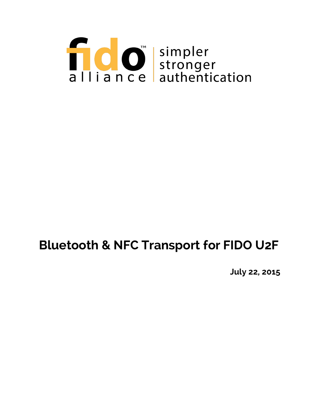

# **Bluetooth & NFC Transport for FIDO U2F**

**July 22, 2015**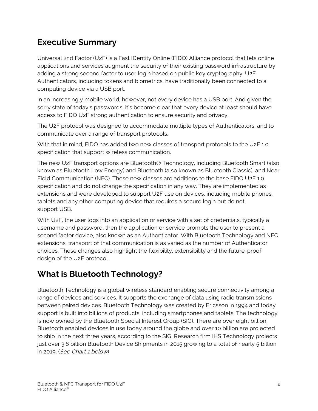## **Executive Summary**

Universal 2nd Factor (U2F) is a Fast IDentity Online (FIDO) Alliance protocol that lets online applications and services augment the security of their existing password infrastructure by adding a strong second factor to user login based on public key cryptography. U2F Authenticators, including tokens and biometrics, have traditionally been connected to a computing device via a USB port.

In an increasingly mobile world, however, not every device has a USB port. And given the sorry state of today's passwords, it's become clear that every device at least should have access to FIDO U2F strong authentication to ensure security and privacy.

The U2F protocol was designed to accommodate multiple types of Authenticators, and to communicate over a range of transport protocols.

With that in mind, FIDO has added two new classes of transport protocols to the U2F 1.0 specification that support wireless communication.

The new U2F transport options are Bluetooth® Technology, including Bluetooth Smart (also known as Bluetooth Low Energy) and Bluetooth (also known as Bluetooth Classic), and Near Field Communication (NFC). These new classes are additions to the base FIDO U2F 1.0 specification and do not change the specification in any way. They are implemented as extensions and were developed to support U2F use on devices, including mobile phones, tablets and any other computing device that requires a secure login but do not support USB.

With U2F, the user logs into an application or service with a set of credentials, typically a username and password, then the application or service prompts the user to present a second factor device, also known as an Authenticator. With Bluetooth Technology and NFC extensions, transport of that communication is as varied as the number of Authenticator choices. These changes also highlight the flexibility, extensibility and the future-proof design of the U2F protocol.

# **What is Bluetooth Technology?**

Bluetooth Technology is a global wireless standard enabling secure connectivity among a range of devices and services. It supports the exchange of data using radio transmissions between paired devices. Bluetooth Technology was created by Ericsson in 1994 and today support is built into billions of products, including smartphones and tablets. The technology is now owned by the Bluetooth Special Interest Group (SIG). There are over eight billion Bluetooth enabled devices in use today around the globe and over 10 billion are projected to ship in the next three years, according to the SIG. Research firm IHS Technology projects just over 3.6 billion Bluetooth Device Shipments in 2015 growing to a total of nearly 5 billion in 2019. (See Chart 1 below)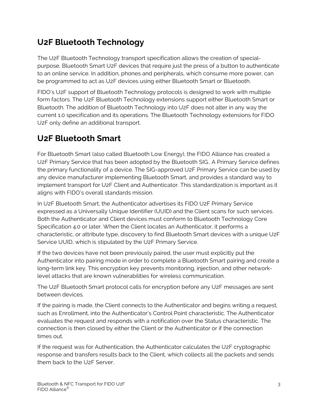## **U2F Bluetooth Technology**

The U2F Bluetooth Technology transport specification allows the creation of specialpurpose, Bluetooth Smart U2F devices that require just the press of a button to authenticate to an online service. In addition, phones and peripherals, which consume more power, can be programmed to act as U2F devices using either Bluetooth Smart or Bluetooth.

FIDO's U2F support of Bluetooth Technology protocols is designed to work with multiple form factors. The U2F Bluetooth Technology extensions support either Bluetooth Smart or Bluetooth. The addition of Bluetooth Technology into U2F does not alter in any way the current 1.0 specification and its operations. The Bluetooth Technology extensions for FIDO U2F only define an additional transport.

# **U2F Bluetooth Smart**

For Bluetooth Smart (also called Bluetooth Low Energy), the FIDO Alliance has created a U2F Primary Service that has been adopted by the Bluetooth SIG.. A Primary Service defines the primary functionality of a device. The SIG-approved U2F Primary Service can be used by any device manufacturer implementing Bluetooth Smart, and provides a standard way to implement transport for U2F Client and Authenticator. This standardization is important as it aligns with FIDO's overall standards mission.

In U2F Bluetooth Smart, the Authenticator advertises its FIDO U2F Primary Service expressed as a Universally Unique Identifier (UUID) and the Client scans for such services. Both the Authenticator and Client devices must conform to Bluetooth Technology Core Specification 4.0 or later. When the Client locates an Authenticator, it performs a characteristic, or attribute type, discovery to find Bluetooth Smart devices with a unique U2F Service UUID, which is stipulated by the U2F Primary Service.

If the two devices have not been previously paired, the user must explicitly put the Authenticator into pairing mode in order to complete a Bluetooth Smart pairing and create a long-term link key. This encryption key prevents monitoring, injection, and other networklevel attacks that are known vulnerabilities for wireless communication.

The U2F Bluetooth Smart protocol calls for encryption before any U2F messages are sent between devices.

If the pairing is made, the Client connects to the Authenticator and begins writing a request, such as Enrollment, into the Authenticator's Control Point characteristic. The Authenticator evaluates the request and responds with a notification over the Status characteristic. The connection is then closed by either the Client or the Authenticator or if the connection times out.

If the request was for Authentication, the Authenticator calculates the U2F cryptographic response and transfers results back to the Client, which collects all the packets and sends them back to the U2F Server.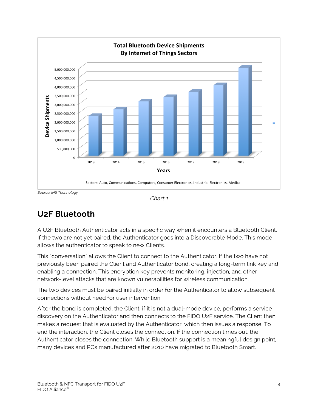

Source: IHS Technology



#### **U2F Bluetooth**

A U2F Bluetooth Authenticator acts in a specific way when it encounters a Bluetooth Client. If the two are not yet paired, the Authenticator goes into a Discoverable Mode. This mode allows the authenticator to speak to new Clients.

This "conversation" allows the Client to connect to the Authenticator. If the two have not previously been paired the Client and Authenticator bond, creating a long-term link key and enabling a connection. This encryption key prevents monitoring, injection, and other network-level attacks that are known vulnerabilities for wireless communication.

The two devices must be paired initially in order for the Authenticator to allow subsequent connections without need for user intervention.

After the bond is completed, the Client, if it is not a dual-mode device, performs a service discovery on the Authenticator and then connects to the FIDO U2F service. The Client then makes a request that is evaluated by the Authenticator, which then issues a response. To end the interaction, the Client closes the connection. If the connection times out, the Authenticator closes the connection. While Bluetooth support is a meaningful design point, many devices and PCs manufactured after 2010 have migrated to Bluetooth Smart.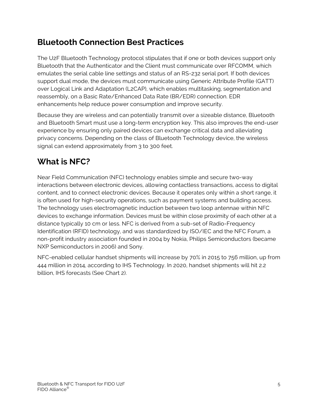## **Bluetooth Connection Best Practices**

The U2F Bluetooth Technology protocol stipulates that if one or both devices support only Bluetooth that the Authenticator and the Client must communicate over RFCOMM, which emulates the serial cable line settings and status of an RS-232 serial port. If both devices support dual mode, the devices must communicate using Generic Attribute Profile (GATT) over Logical Link and Adaptation (L2CAP), which enables multitasking, segmentation and reassembly, on a Basic Rate/Enhanced Data Rate (BR/EDR) connection. EDR enhancements help reduce power consumption and improve security.

Because they are wireless and can potentially transmit over a sizeable distance, Bluetooth and Bluetooth Smart must use a long-term encryption key. This also improves the end-user experience by ensuring only paired devices can exchange critical data and alleviating privacy concerns. Depending on the class of Bluetooth Technology device, the wireless signal can extend approximately from 3 to 300 feet.

# **What is NFC?**

Near Field Communication (NFC) technology enables simple and secure two-way interactions between electronic devices, allowing contactless transactions, access to digital content, and to connect electronic devices. Because it operates only within a short range, it is often used for high-security operations, such as payment systems and building access. The technology uses electromagnetic induction between two loop antennae within NFC devices to exchange information. Devices must be within close proximity of each other at a distance typically 10 cm or less. NFC is derived from a sub-set of Radio-Frequency Identification (RFID) technology, and was standardized by ISO/IEC and the NFC Forum, a non-profit industry association founded in 2004 by Nokia, Philips Semiconductors (became NXP Semiconductors in 2006) and Sony.

NFC-enabled cellular handset shipments will increase by 70% in 2015 to 756 million, up from 444 million in 2014, according to IHS Technology. In 2020, handset shipments will hit 2.2 billion, IHS forecasts (See Chart 2).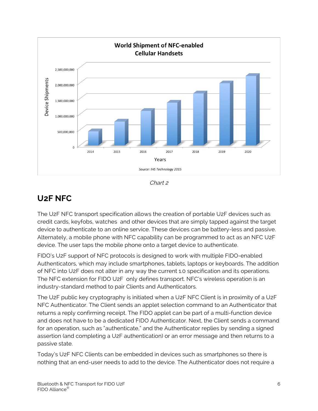

Chart 2

# **U2F NFC**

The U2F NFC transport specification allows the creation of portable U2F devices such as credit cards, keyfobs, watches and other devices that are simply tapped against the target device to authenticate to an online service. These devices can be battery-less and passive. Alternately, a mobile phone with NFC capability can be programmed to act as an NFC U2F device. The user taps the mobile phone onto a target device to authenticate.

FIDO's U2F support of NFC protocols is designed to work with multiple FIDO-enabled Authenticators, which may include smartphones, tablets, laptops or keyboards. The addition of NFC into U2F does not alter in any way the current 1.0 specification and its operations. The NFC extension for FIDO U2F only defines transport. NFC's wireless operation is an industry-standard method to pair Clients and Authenticators.

The U2F public key cryptography is initiated when a U2F NFC Client is in proximity of a U2F NFC Authenticator. The Client sends an applet selection command to an Authenticator that returns a reply confirming receipt. The FIDO applet can be part of a multi-function device and does not have to be a dedicated FIDO Authenticator. Next, the Client sends a command for an operation, such as "authenticate," and the Authenticator replies by sending a signed assertion (and completing a U2F authentication) or an error message and then returns to a passive state.

Today's U2F NFC Clients can be embedded in devices such as smartphones so there is nothing that an end-user needs to add to the device. The Authenticator does not require a